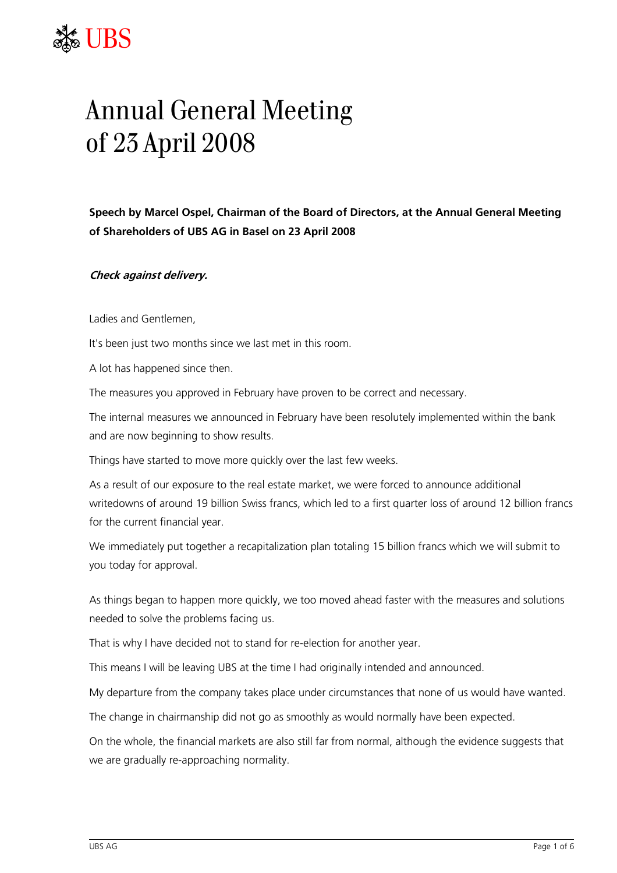## ${\sf JBS}$

## Annual General Meeting of 23 April 2008

**Speech by Marcel Ospel, Chairman of the Board of Directors, at the Annual General Meeting of Shareholders of UBS AG in Basel on 23 April 2008** 

**Check against delivery.** 

Ladies and Gentlemen,

It's been just two months since we last met in this room.

A lot has happened since then.

The measures you approved in February have proven to be correct and necessary.

The internal measures we announced in February have been resolutely implemented within the bank and are now beginning to show results.

Things have started to move more quickly over the last few weeks.

As a result of our exposure to the real estate market, we were forced to announce additional writedowns of around 19 billion Swiss francs, which led to a first quarter loss of around 12 billion francs for the current financial year.

We immediately put together a recapitalization plan totaling 15 billion francs which we will submit to you today for approval.

As things began to happen more quickly, we too moved ahead faster with the measures and solutions needed to solve the problems facing us.

That is why I have decided not to stand for re-election for another year.

This means I will be leaving UBS at the time I had originally intended and announced.

My departure from the company takes place under circumstances that none of us would have wanted.

The change in chairmanship did not go as smoothly as would normally have been expected.

On the whole, the financial markets are also still far from normal, although the evidence suggests that we are gradually re-approaching normality.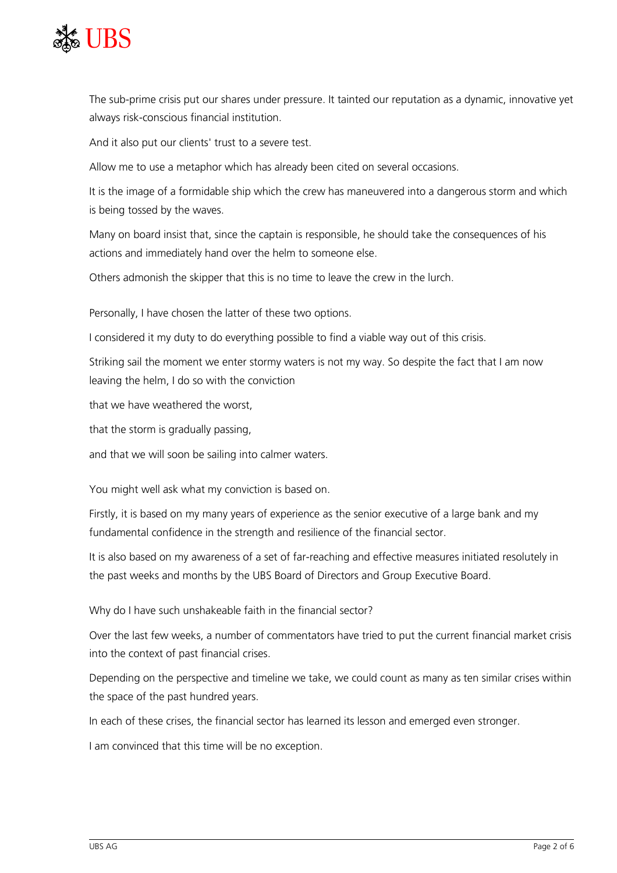

The sub-prime crisis put our shares under pressure. It tainted our reputation as a dynamic, innovative yet always risk-conscious financial institution.

And it also put our clients' trust to a severe test.

Allow me to use a metaphor which has already been cited on several occasions.

It is the image of a formidable ship which the crew has maneuvered into a dangerous storm and which is being tossed by the waves.

Many on board insist that, since the captain is responsible, he should take the consequences of his actions and immediately hand over the helm to someone else.

Others admonish the skipper that this is no time to leave the crew in the lurch.

Personally, I have chosen the latter of these two options.

I considered it my duty to do everything possible to find a viable way out of this crisis.

Striking sail the moment we enter stormy waters is not my way. So despite the fact that I am now leaving the helm, I do so with the conviction

that we have weathered the worst

that the storm is gradually passing,

and that we will soon be sailing into calmer waters.

You might well ask what my conviction is based on.

Firstly, it is based on my many years of experience as the senior executive of a large bank and my fundamental confidence in the strength and resilience of the financial sector.

It is also based on my awareness of a set of far-reaching and effective measures initiated resolutely in the past weeks and months by the UBS Board of Directors and Group Executive Board.

Why do I have such unshakeable faith in the financial sector?

Over the last few weeks, a number of commentators have tried to put the current financial market crisis into the context of past financial crises.

Depending on the perspective and timeline we take, we could count as many as ten similar crises within the space of the past hundred years.

In each of these crises, the financial sector has learned its lesson and emerged even stronger.

I am convinced that this time will be no exception.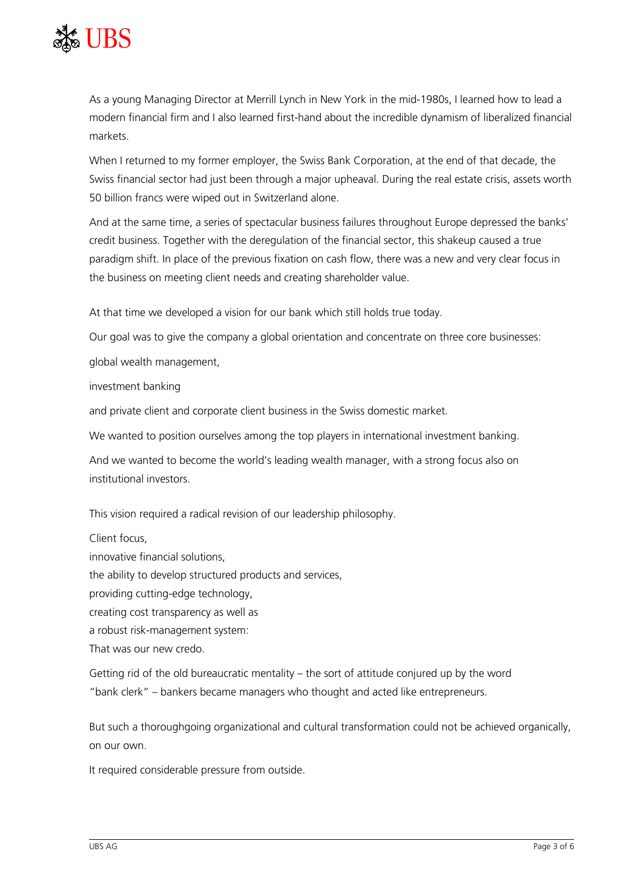

As a young Managing Director at Merrill Lynch in New York in the mid-1980s, I learned how to lead a modern financial firm and I also learned first-hand about the incredible dynamism of liberalized financial markets.

When I returned to my former employer, the Swiss Bank Corporation, at the end of that decade, the Swiss financial sector had just been through a major upheaval. During the real estate crisis, assets worth 50 billion francs were wiped out in Switzerland alone.

And at the same time, a series of spectacular business failures throughout Europe depressed the banks' credit business. Together with the deregulation of the financial sector, this shakeup caused a true paradigm shift. In place of the previous fixation on cash flow, there was a new and very clear focus in the business on meeting client needs and creating shareholder value.

At that time we developed a vision for our bank which still holds true today.

Our goal was to give the company a global orientation and concentrate on three core businesses: global wealth management,

investment banking

and private client and corporate client business in the Swiss domestic market.

We wanted to position ourselves among the top players in international investment banking.

And we wanted to become the world's leading wealth manager, with a strong focus also on institutional investors.

This vision required a radical revision of our leadership philosophy.

Client focus, innovative financial solutions, the ability to develop structured products and services, providing cutting-edge technology, creating cost transparency as well as a robust risk-management system: That was our new credo.

Getting rid of the old bureaucratic mentality – the sort of attitude conjured up by the word "bank clerk" – bankers became managers who thought and acted like entrepreneurs.

But such a thoroughgoing organizational and cultural transformation could not be achieved organically, on our own.

It required considerable pressure from outside.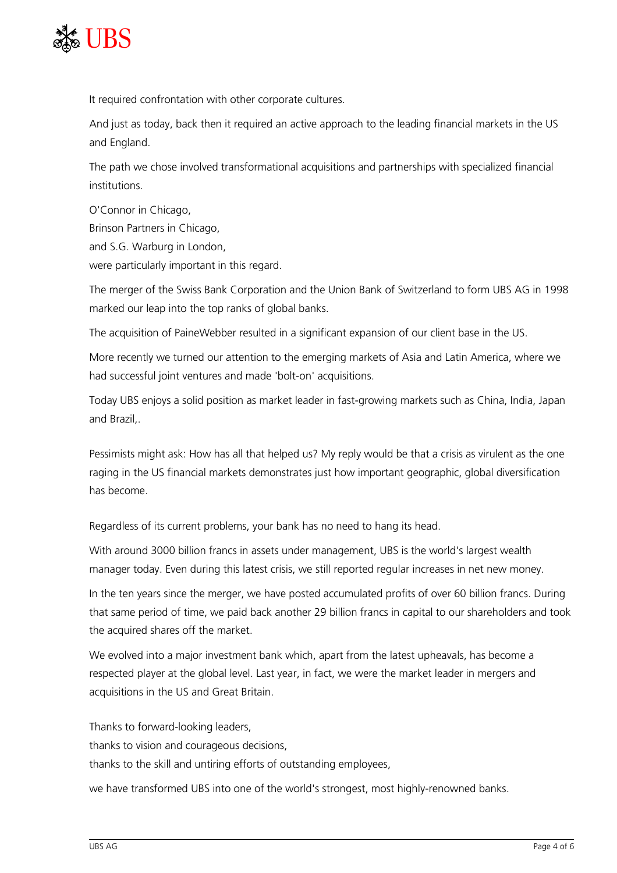

It required confrontation with other corporate cultures.

And just as today, back then it required an active approach to the leading financial markets in the US and England.

The path we chose involved transformational acquisitions and partnerships with specialized financial institutions.

O'Connor in Chicago, Brinson Partners in Chicago, and S.G. Warburg in London, were particularly important in this regard.

The merger of the Swiss Bank Corporation and the Union Bank of Switzerland to form UBS AG in 1998 marked our leap into the top ranks of global banks.

The acquisition of PaineWebber resulted in a significant expansion of our client base in the US.

More recently we turned our attention to the emerging markets of Asia and Latin America, where we had successful joint ventures and made 'bolt-on' acquisitions.

Today UBS enjoys a solid position as market leader in fast-growing markets such as China, India, Japan and Brazil,.

Pessimists might ask: How has all that helped us? My reply would be that a crisis as virulent as the one raging in the US financial markets demonstrates just how important geographic, global diversification has become.

Regardless of its current problems, your bank has no need to hang its head.

With around 3000 billion francs in assets under management, UBS is the world's largest wealth manager today. Even during this latest crisis, we still reported regular increases in net new money.

In the ten years since the merger, we have posted accumulated profits of over 60 billion francs. During that same period of time, we paid back another 29 billion francs in capital to our shareholders and took the acquired shares off the market.

We evolved into a major investment bank which, apart from the latest upheavals, has become a respected player at the global level. Last year, in fact, we were the market leader in mergers and acquisitions in the US and Great Britain.

Thanks to forward-looking leaders, thanks to vision and courageous decisions, thanks to the skill and untiring efforts of outstanding employees,

we have transformed UBS into one of the world's strongest, most highly-renowned banks.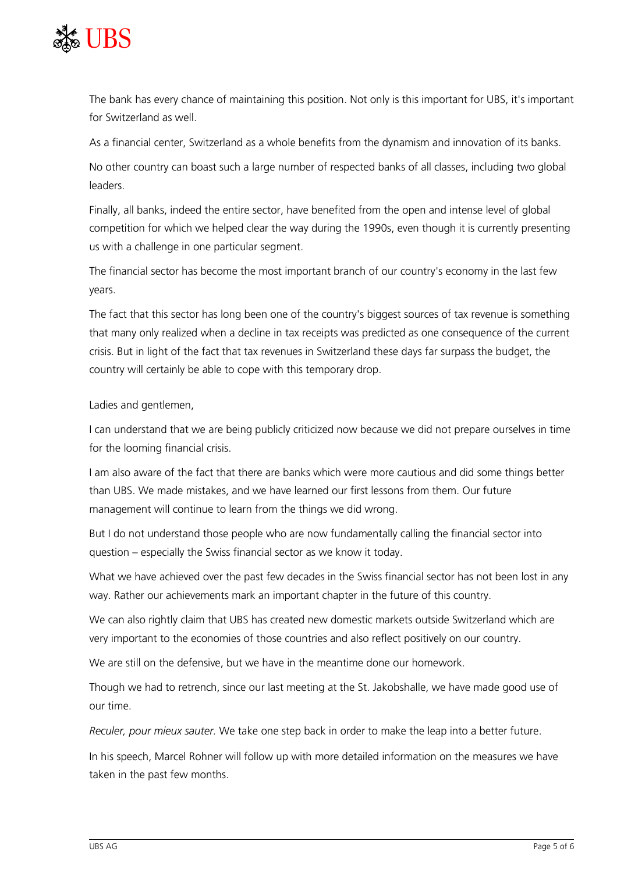

The bank has every chance of maintaining this position. Not only is this important for UBS, it's important for Switzerland as well.

As a financial center, Switzerland as a whole benefits from the dynamism and innovation of its banks.

No other country can boast such a large number of respected banks of all classes, including two global leaders.

Finally, all banks, indeed the entire sector, have benefited from the open and intense level of global competition for which we helped clear the way during the 1990s, even though it is currently presenting us with a challenge in one particular segment.

The financial sector has become the most important branch of our country's economy in the last few years.

The fact that this sector has long been one of the country's biggest sources of tax revenue is something that many only realized when a decline in tax receipts was predicted as one consequence of the current crisis. But in light of the fact that tax revenues in Switzerland these days far surpass the budget, the country will certainly be able to cope with this temporary drop.

Ladies and gentlemen,

I can understand that we are being publicly criticized now because we did not prepare ourselves in time for the looming financial crisis.

I am also aware of the fact that there are banks which were more cautious and did some things better than UBS. We made mistakes, and we have learned our first lessons from them. Our future management will continue to learn from the things we did wrong.

But I do not understand those people who are now fundamentally calling the financial sector into question – especially the Swiss financial sector as we know it today.

What we have achieved over the past few decades in the Swiss financial sector has not been lost in any way. Rather our achievements mark an important chapter in the future of this country.

We can also rightly claim that UBS has created new domestic markets outside Switzerland which are very important to the economies of those countries and also reflect positively on our country.

We are still on the defensive, but we have in the meantime done our homework.

Though we had to retrench, since our last meeting at the St. Jakobshalle, we have made good use of our time.

*Reculer, pour mieux sauter.* We take one step back in order to make the leap into a better future.

In his speech, Marcel Rohner will follow up with more detailed information on the measures we have taken in the past few months.